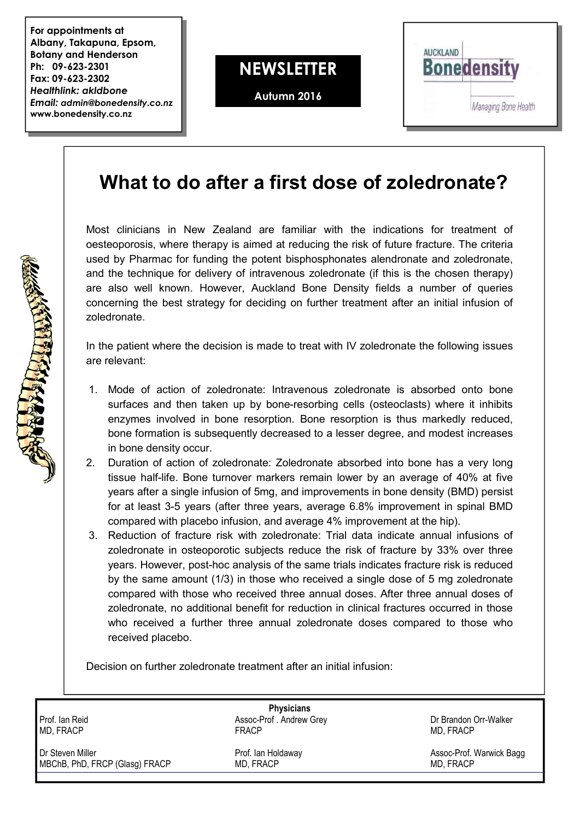**For appointments at Albany, Takapuna, Epsom, Botany and Henderson Ph: 09-623-2301 Fax: 09-623-2302** *Healthlink: akldbone Email: admin@bonedensity.co.nz* **www.bonedensity.co.nz**

BUT A PARTICIPATION



**Autumn 2016**



## **What to do after a first dose of zoledronate?**

Most clinicians in New Zealand are familiar with the indications for treatment of oesteoporosis, where therapy is aimed at reducing the risk of future fracture. The criteria used by Pharmac for funding the potent bisphosphonates alendronate and zoledronate, and the technique for delivery of intravenous zoledronate (if this is the chosen therapy) are also well known. However, Auckland Bone Density fields a number of queries concerning the best strategy for deciding on further treatment after an initial infusion of zoledronate.

In the patient where the decision is made to treat with IV zoledronate the following issues are relevant:

- 1. Mode of action of zoledronate: Intravenous zoledronate is absorbed onto bone surfaces and then taken up by bone-resorbing cells (osteoclasts) where it inhibits enzymes involved in bone resorption. Bone resorption is thus markedly reduced, bone formation is subsequently decreased to a lesser degree, and modest increases in bone density occur.
- 2. Duration of action of zoledronate: Zoledronate absorbed into bone has a very long tissue half-life. Bone turnover markers remain lower by an average of 40% at five years after a single infusion of 5mg, and improvements in bone density (BMD) persist for at least 3-5 years (after three years, average 6.8% improvement in spinal BMD compared with placebo infusion, and average 4% improvement at the hip).
- 3. Reduction of fracture risk with zoledronate: Trial data indicate annual infusions of zoledronate in osteoporotic subjects reduce the risk of fracture by 33% over three years. However, post-hoc analysis of the same trials indicates fracture risk is reduced by the same amount (1/3) in those who received a single dose of 5 mg zoledronate compared with those who received three annual doses. After three annual doses of zoledronate, no additional benefit for reduction in clinical fractures occurred in those who received a further three annual zoledronate doses compared to those who received placebo.

Decision on further zoledronate treatment after an initial infusion:

| <b>Physicians</b>              |                         |                          |
|--------------------------------|-------------------------|--------------------------|
| Prof. Ian Reid                 | Assoc-Prof. Andrew Grey | Dr Brandon Orr-Walker    |
| MD, FRACP                      | <b>FRACP</b>            | MD, FRACP                |
| Dr Steven Miller               | Prof. Ian Holdaway      | Assoc-Prof. Warwick Bagg |
| MBChB, PhD, FRCP (Glasg) FRACP | MD. FRACP               | MD, FRACP                |